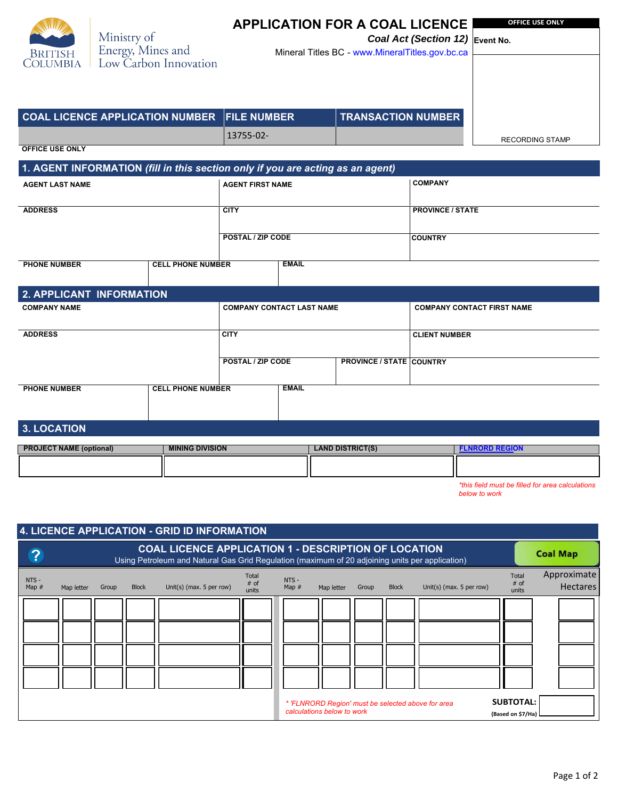| <b>BRITISH</b><br><b>OLUMBIA</b> |
|----------------------------------|

Ministry of<br>Energy, Mines and<br>Low Carbon Innovation

## **APPLICATION FOR A COAL LICENCE OFFICE USE ONLY**

*Coal Act (Section 12)* **Event No.**  Mineral Titles BC - <www.MineralTitles.gov.bc.ca>

| <b>COAL LICENCE APPLICATION NUMBER FILE NUMBER</b>                             |                          | <b>TRANSACTION NUMBER</b> |                        |
|--------------------------------------------------------------------------------|--------------------------|---------------------------|------------------------|
|                                                                                | 13755-02-                |                           | <b>RECORDING STAMP</b> |
| <b>OFFICE USE ONLY</b>                                                         |                          |                           |                        |
| 1. AGENT INFORMATION (fill in this section only if you are acting as an agent) |                          |                           |                        |
| <b>AGENT LAST NAME</b>                                                         | <b>AGENT FIRST NAME</b>  | <b>COMPANY</b>            |                        |
|                                                                                |                          |                           |                        |
| <b>ADDRESS</b>                                                                 | <b>CITY</b>              | <b>PROVINCE / STATE</b>   |                        |
|                                                                                |                          |                           |                        |
|                                                                                | <b>POSTAL / ZIP CODE</b> | <b>COUNTRY</b>            |                        |

| <b>PHONE NUMBER</b><br><b>CELL PHONE NUMBER</b> |                                  | <b>EMAIL</b>                                         |  |                                   |  |  |  |  |
|-------------------------------------------------|----------------------------------|------------------------------------------------------|--|-----------------------------------|--|--|--|--|
|                                                 |                                  |                                                      |  |                                   |  |  |  |  |
|                                                 |                                  |                                                      |  |                                   |  |  |  |  |
| 2. APPLICANT INFORMATION                        |                                  |                                                      |  |                                   |  |  |  |  |
| <b>COMPANY NAME</b>                             | <b>COMPANY CONTACT LAST NAME</b> |                                                      |  | <b>COMPANY CONTACT FIRST NAME</b> |  |  |  |  |
|                                                 |                                  |                                                      |  |                                   |  |  |  |  |
|                                                 |                                  |                                                      |  |                                   |  |  |  |  |
| <b>ADDRESS</b>                                  | <b>CITY</b>                      |                                                      |  | <b>CLIENT NUMBER</b>              |  |  |  |  |
|                                                 |                                  |                                                      |  |                                   |  |  |  |  |
|                                                 |                                  |                                                      |  |                                   |  |  |  |  |
|                                                 |                                  | <b>PROVINCE / STATE COUNTRY</b><br>POSTAL / ZIP CODE |  |                                   |  |  |  |  |
|                                                 |                                  |                                                      |  |                                   |  |  |  |  |
| <b>PHONE NUMBER</b>                             | <b>CELL PHONE NUMBER</b>         | <b>EMAIL</b>                                         |  |                                   |  |  |  |  |
|                                                 |                                  |                                                      |  |                                   |  |  |  |  |
|                                                 |                                  |                                                      |  |                                   |  |  |  |  |
|                                                 |                                  |                                                      |  |                                   |  |  |  |  |
| 3. LOCATION                                     |                                  |                                                      |  |                                   |  |  |  |  |
|                                                 |                                  |                                                      |  |                                   |  |  |  |  |
|                                                 |                                  |                                                      |  |                                   |  |  |  |  |

## **PROJECT NAME (optional) MINING DIVISION ALCOREGION ELAND DISTRICT(S) FLNRORD** [REGION](https://www2.gov.bc.ca/assets/gov/farming-natural-resources-and-industry/forestry/district-contacts/natural_resource_regions_and_districts_map2017.png) *\*this field must be filled for area calculations*

*below to work*

| 4. LICENCE APPLICATION - GRID ID INFORMATION                                                                              |                                                                                                                                                                |       |              |                          |                                 |                    |            |       |                 |                          |                                 |                                |
|---------------------------------------------------------------------------------------------------------------------------|----------------------------------------------------------------------------------------------------------------------------------------------------------------|-------|--------------|--------------------------|---------------------------------|--------------------|------------|-------|-----------------|--------------------------|---------------------------------|--------------------------------|
| ?                                                                                                                         | <b>COAL LICENCE APPLICATION 1 - DESCRIPTION OF LOCATION</b><br>Using Petroleum and Natural Gas Grid Regulation (maximum of 20 adjoining units per application) |       |              |                          |                                 |                    |            |       | <b>Coal Map</b> |                          |                                 |                                |
| NTS -<br>Map $#$                                                                                                          | Map letter                                                                                                                                                     | Group | <b>Block</b> | Unit(s) (max. 5 per row) | <b>Total</b><br>$#$ of<br>units | $NTS -$<br>Map $#$ | Map letter | Group | <b>Block</b>    | Unit(s) (max. 5 per row) | <b>Total</b><br>$#$ of<br>units | Approximate<br><b>Hectares</b> |
|                                                                                                                           |                                                                                                                                                                |       |              |                          |                                 |                    |            |       |                 |                          |                                 |                                |
|                                                                                                                           |                                                                                                                                                                |       |              |                          |                                 |                    |            |       |                 |                          |                                 |                                |
|                                                                                                                           |                                                                                                                                                                |       |              |                          |                                 |                    |            |       |                 |                          |                                 |                                |
|                                                                                                                           |                                                                                                                                                                |       |              |                          |                                 |                    |            |       |                 |                          |                                 |                                |
| <b>SUBTOTAL:</b><br>* 'FLNRORD Region' must be selected above for area<br>calculations below to work<br>(Based on \$7/Ha) |                                                                                                                                                                |       |              |                          |                                 |                    |            |       |                 |                          |                                 |                                |